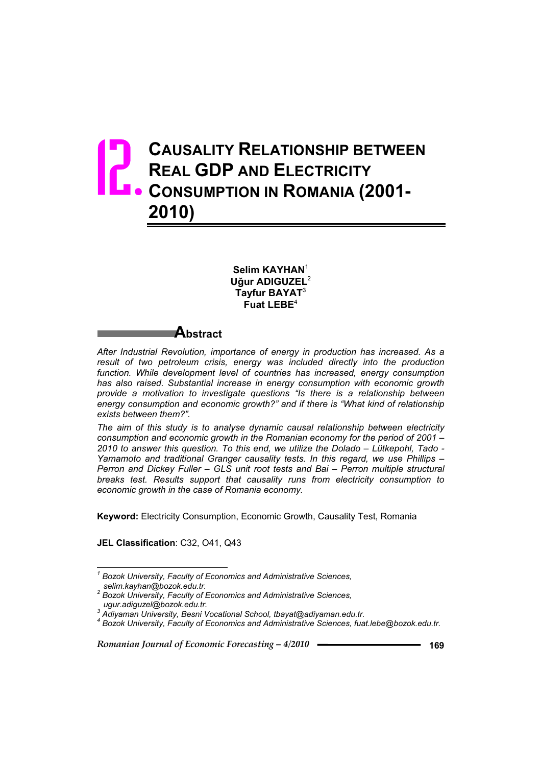# **CAUSALITY RELATIONSHIP BETWEEN REAL GDP AND ELECTRICITY CAUSALITY RELATIONSHIP BETWEE**<br> **CONSUMPTION IN ROMANIA (2001-2010)**

**Selim KAYHAN**<sup>1</sup> **U÷ur ADIGUZEL**<sup>2</sup> **Tayfur BAYAT**<sup>3</sup> **Fuat LEBE**<sup>4</sup>

# **Abstract**

*After Industrial Revolution, importance of energy in production has increased. As a result of two petroleum crisis, energy was included directly into the production*  function. While development level of countries has increased, energy consumption *has also raised. Substantial increase in energy consumption with economic growth provide a motivation to investigate questions "Is there is a relationship between energy consumption and economic growth?" and if there is "What kind of relationship exists between them?".* 

*The aim of this study is to analyse dynamic causal relationship between electricity consumption and economic growth in the Romanian economy for the period of 2001 – 2010 to answer this question. To this end, we utilize the Dolado – Lütkepohl, Tado - Yamamoto and traditional Granger causality tests. In this regard, we use Phillips – Perron and Dickey Fuller – GLS unit root tests and Bai – Perron multiple structural breaks test. Results support that causality runs from electricity consumption to economic growth in the case of Romania economy.* 

**Keyword:** Electricity Consumption, Economic Growth, Causality Test, Romania

**JEL Classification**: C32, O41, Q43

 *1 Bozok University, Faculty of Economics and Administrative Sciences,* 

*selim.kayhan@bozok.edu.tr. 2 Bozok University, Faculty of Economics and Administrative Sciences,* 

*ugur.adiguzel@bozok.edu.tr. 3 Adiyaman University, Besni Vocational School, tbayat@adiyaman.edu.tr.* 

*<sup>4</sup> Bozok University, Faculty of Economics and Administrative Sciences, fuat.lebe@bozok.edu.tr.*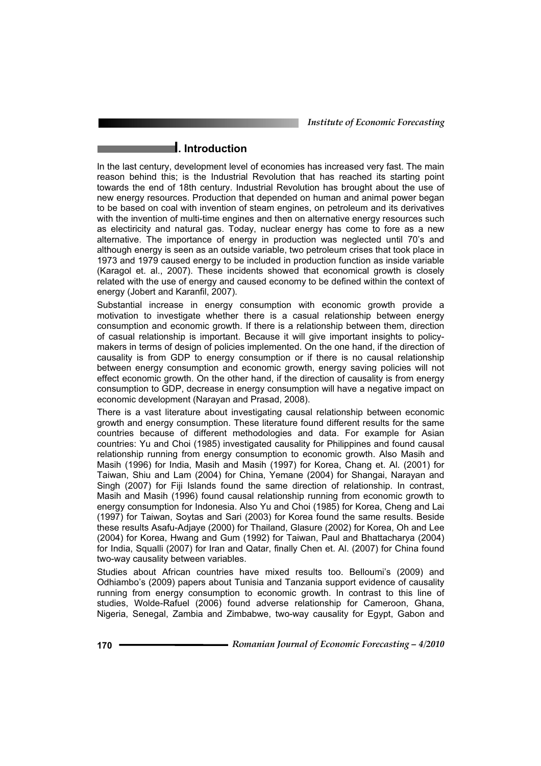*Institute of Economic Forecasting*

## **I. Introduction**

In the last century, development level of economies has increased very fast. The main reason behind this; is the Industrial Revolution that has reached its starting point towards the end of 18th century. Industrial Revolution has brought about the use of new energy resources. Production that depended on human and animal power began to be based on coal with invention of steam engines, on petroleum and its derivatives with the invention of multi-time engines and then on alternative energy resources such as electiricity and natural gas. Today, nuclear energy has come to fore as a new alternative. The importance of energy in production was neglected until 70's and although energy is seen as an outside variable, two petroleum crises that took place in 1973 and 1979 caused energy to be included in production function as inside variable (Karagol et. al., 2007). These incidents showed that economical growth is closely related with the use of energy and caused economy to be defined within the context of energy (Jobert and Karanfil, 2007).

Substantial increase in energy consumption with economic growth provide a motivation to investigate whether there is a casual relationship between energy consumption and economic growth. If there is a relationship between them, direction of casual relationship is important. Because it will give important insights to policymakers in terms of design of policies implemented. On the one hand, if the direction of causality is from GDP to energy consumption or if there is no causal relationship between energy consumption and economic growth, energy saving policies will not effect economic growth. On the other hand, if the direction of causality is from energy consumption to GDP, decrease in energy consumption will have a negative impact on economic development (Narayan and Prasad, 2008).

There is a vast literature about investigating causal relationship between economic growth and energy consumption. These literature found different results for the same countries because of different methodologies and data. For example for Asian countries: Yu and Choi (1985) investigated causality for Philippines and found causal relationship running from energy consumption to economic growth. Also Masih and Masih (1996) for India, Masih and Masih (1997) for Korea, Chang et. Al. (2001) for Taiwan, Shiu and Lam (2004) for China, Yemane (2004) for Shangai, Narayan and Singh (2007) for Fiji Islands found the same direction of relationship. In contrast, Masih and Masih (1996) found causal relationship running from economic growth to energy consumption for Indonesia. Also Yu and Choi (1985) for Korea, Cheng and Lai (1997) for Taiwan, Soytas and Sari (2003) for Korea found the same results. Beside these results Asafu-Adjaye (2000) for Thailand, Glasure (2002) for Korea, Oh and Lee (2004) for Korea, Hwang and Gum (1992) for Taiwan, Paul and Bhattacharya (2004) for India, Squalli (2007) for Iran and Qatar, finally Chen et. Al. (2007) for China found two-way causality between variables.

Studies about African countries have mixed results too. Belloumi's (2009) and Odhiambo's (2009) papers about Tunisia and Tanzania support evidence of causality running from energy consumption to economic growth. In contrast to this line of studies, Wolde-Rafuel (2006) found adverse relationship for Cameroon, Ghana, Nigeria, Senegal, Zambia and Zimbabwe, two-way causality for Egypt, Gabon and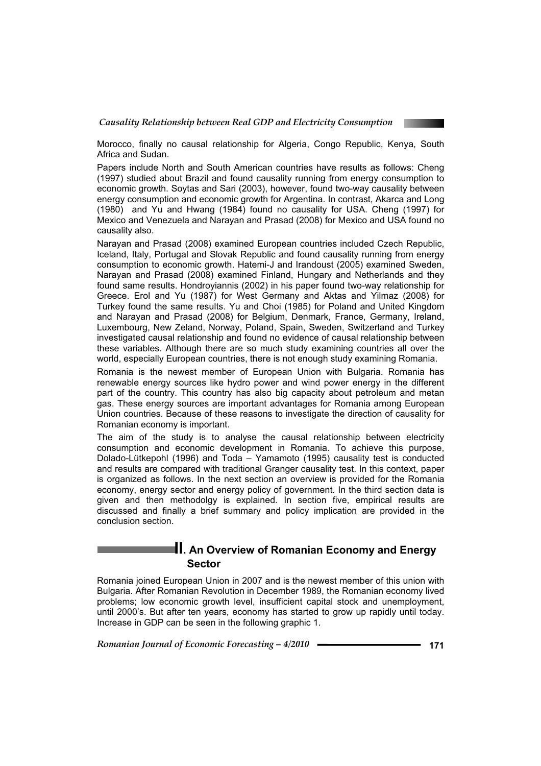

Morocco, finally no causal relationship for Algeria, Congo Republic, Kenya, South Africa and Sudan.

Papers include North and South American countries have results as follows: Cheng (1997) studied about Brazil and found causality running from energy consumption to economic growth. Soytas and Sari (2003), however, found two-way causality between energy consumption and economic growth for Argentina. In contrast, Akarca and Long (1980) and Yu and Hwang (1984) found no causality for USA. Cheng (1997) for Mexico and Venezuela and Narayan and Prasad (2008) for Mexico and USA found no causality also.

Narayan and Prasad (2008) examined European countries included Czech Republic, Iceland, Italy, Portugal and Slovak Republic and found causality running from energy consumption to economic growth. Hatemi-J and Irandoust (2005) examined Sweden, Narayan and Prasad (2008) examined Finland, Hungary and Netherlands and they found same results. Hondroyiannis (2002) in his paper found two-way relationship for Greece. Erol and Yu (1987) for West Germany and Aktas and Yilmaz (2008) for Turkey found the same results. Yu and Choi (1985) for Poland and United Kingdom and Narayan and Prasad (2008) for Belgium, Denmark, France, Germany, Ireland, Luxembourg, New Zeland, Norway, Poland, Spain, Sweden, Switzerland and Turkey investigated causal relationship and found no evidence of causal relationship between these variables. Although there are so much study examining countries all over the world, especially European countries, there is not enough study examining Romania.

Romania is the newest member of European Union with Bulgaria. Romania has renewable energy sources like hydro power and wind power energy in the different part of the country. This country has also big capacity about petroleum and metan gas. These energy sources are important advantages for Romania among European Union countries. Because of these reasons to investigate the direction of causality for Romanian economy is important.

The aim of the study is to analyse the causal relationship between electricity consumption and economic development in Romania. To achieve this purpose, Dolado-Lütkepohl (1996) and Toda – Yamamoto (1995) causality test is conducted and results are compared with traditional Granger causality test. In this context, paper is organized as follows. In the next section an overview is provided for the Romania economy, energy sector and energy policy of government. In the third section data is given and then methodolgy is explained. In section five, empirical results are discussed and finally a brief summary and policy implication are provided in the conclusion section.

## **II. An Overview of Romanian Economy and Energy Sector**

Romania joined European Union in 2007 and is the newest member of this union with Bulgaria. After Romanian Revolution in December 1989, the Romanian economy lived problems; low economic growth level, insufficient capital stock and unemployment, until 2000's. But after ten years, economy has started to grow up rapidly until today. Increase in GDP can be seen in the following graphic 1.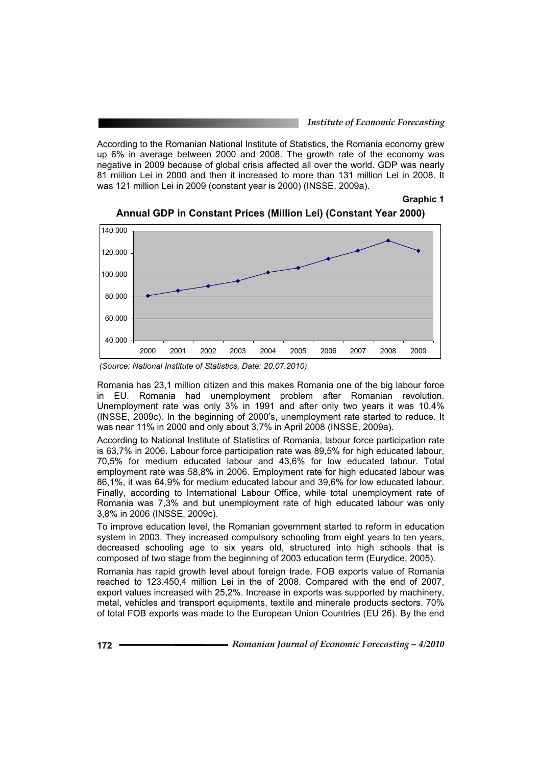According to the Romanian National Institute of Statistics, the Romania economy grew up 6% in average between 2000 and 2008. The growth rate of the economy was negative in 2009 because of global crisis affected all over the world. GDP was nearly 81 miilion Lei in 2000 and then it increased to more than 131 million Lei in 2008. It was 121 million Lei in 2009 (constant year is 2000) (INSSE, 2009a).

**Graphic 1** 



**Annual GDP in Constant Prices (Million Lei) (Constant Year 2000)** 

Romania has 23,1 million citizen and this makes Romania one of the big labour force in EU. Romania had unemployment problem after Romanian revolution. Unemployment rate was only 3% in 1991 and after only two years it was 10,4% (INSSE, 2009c). In the beginning of 2000's, unemployment rate started to reduce. It was near 11% in 2000 and only about 3,7% in April 2008 (INSSE, 2009a).

According to National Institute of Statistics of Romania, labour force participation rate is 63,7% in 2006. Labour force participation rate was 89,5% for high educated labour, 70,5% for medium educated labour and 43,6% for low educated labour. Total employment rate was 58,8% in 2006. Employment rate for high educated labour was 86,1%, it was 64,9% for medium educated labour and 39,6% for low educated labour. Finally, according to International Labour Office, while total unemployment rate of Romania was 7,3% and but unemployment rate of high educated labour was only 3,8% in 2006 (INSSE, 2009c).

To improve education level, the Romanian government started to reform in education system in 2003. They increased compulsory schooling from eight years to ten years, decreased schooling age to six years old, structured into high schools that is composed of two stage from the beginning of 2003 education term (Eurydice, 2005).

Romania has rapid growth level about foreign trade. FOB exports value of Romania reached to 123.450,4 million Lei in the of 2008. Compared with the end of 2007, export values increased with 25,2%. Increase in exports was supported by machinery, metal, vehicles and transport equipments, textile and minerale products sectors. 70% of total FOB exports was made to the European Union Countries (EU 26). By the end

 *<sup>(</sup>Source: National Institute of Statistics, Date: 20.07.2010)*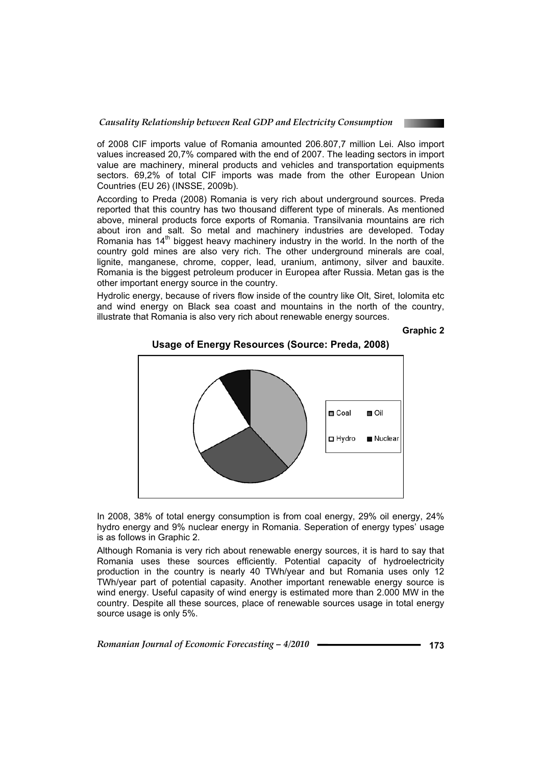of 2008 CIF imports value of Romania amounted 206.807,7 million Lei. Also import values increased 20,7% compared with the end of 2007. The leading sectors in import value are machinery, mineral products and vehicles and transportation equipments sectors. 69,2% of total CIF imports was made from the other European Union Countries (EU 26) (INSSE, 2009b).

According to Preda (2008) Romania is very rich about underground sources. Preda reported that this country has two thousand different type of minerals. As mentioned above, mineral products force exports of Romania. Transilvania mountains are rich about iron and salt. So metal and machinery industries are developed. Today Romania has  $14<sup>th</sup>$  biggest heavy machinery industry in the world. In the north of the country gold mines are also very rich. The other underground minerals are coal, lignite, manganese, chrome, copper, lead, uranium, antimony, silver and bauxite. Romania is the biggest petroleum producer in Europea after Russia. Metan gas is the other important energy source in the country.

Hydrolic energy, because of rivers flow inside of the country like Olt, Siret, Iolomita etc and wind energy on Black sea coast and mountains in the north of the country, illustrate that Romania is also very rich about renewable energy sources.

**Graphic 2** 



**Usage of Energy Resources (Source: Preda, 2008)** 

In 2008, 38% of total energy consumption is from coal energy, 29% oil energy, 24% hydro energy and 9% nuclear energy in Romania. Seperation of energy types' usage is as follows in Graphic 2.

Although Romania is very rich about renewable energy sources, it is hard to say that Romania uses these sources efficiently. Potential capacity of hydroelectricity production in the country is nearly 40 TWh/year and but Romania uses only 12 TWh/year part of potential capasity. Another important renewable energy source is wind energy. Useful capasity of wind energy is estimated more than 2.000 MW in the country. Despite all these sources, place of renewable sources usage in total energy source usage is only 5%.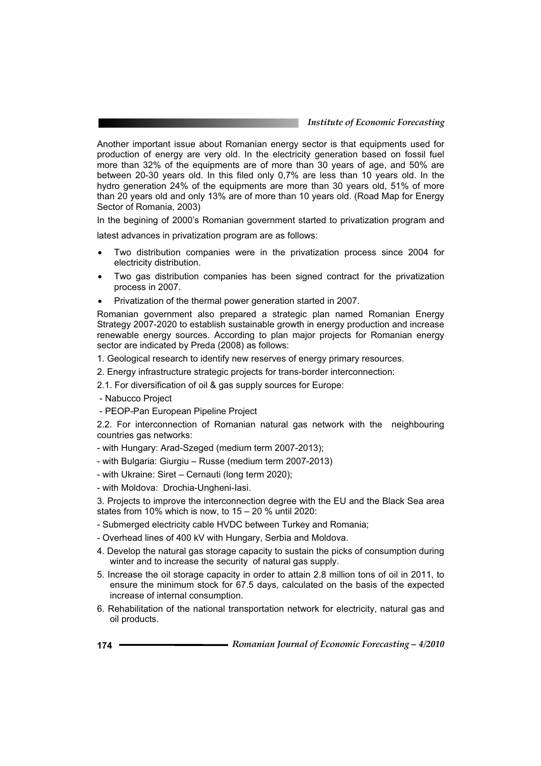Another important issue about Romanian energy sector is that equipments used for production of energy are very old. In the electricity generation based on fossil fuel more than 32% of the equipments are of more than 30 years of age, and 50% are between 20-30 years old. In this filed only 0,7% are less than 10 years old. In the hydro generation 24% of the equipments are more than 30 years old, 51% of more than 20 years old and only 13% are of more than 10 years old. (Road Map for Energy Sector of Romania, 2003)

In the begining of 2000's Romanian government started to privatization program and

latest advances in privatization program are as follows:

- Two distribution companies were in the privatization process since 2004 for electricity distribution.
- Two gas distribution companies has been signed contract for the privatization process in 2007.
- Privatization of the thermal power generation started in 2007.

Romanian government also prepared a strategic plan named Romanian Energy Strategy 2007-2020 to establish sustainable growth in energy production and increase renewable energy sources. According to plan major projects for Romanian energy sector are indicated by Preda (2008) as follows:

- 1. Geological research to identify new reserves of energy primary resources.
- 2. Energy infrastructure strategic projects for trans-border interconnection:
- 2.1. For diversification of oil & gas supply sources for Europe:
- Nabucco Project
- PEOP-Pan European Pipeline Project

2.2. For interconnection of Romanian natural gas network with the neighbouring countries gas networks:

- with Hungary: Arad-Szeged (medium term 2007-2013);

- with Bulgaria: Giurgiu – Russe (medium term 2007-2013)

- with Ukraine: Siret – Cernauti (long term 2020);

- with Moldova: Drochia-Ungheni-Iasi.

3. Projects to improve the interconnection degree with the EU and the Black Sea area states from 10% which is now, to 15 – 20 % until 2020:

- Submerged electricity cable HVDC between Turkey and Romania;
- Overhead lines of 400 kV with Hungary, Serbia and Moldova.
- 4. Develop the natural gas storage capacity to sustain the picks of consumption during winter and to increase the security of natural gas supply.
- 5. Increase the oil storage capacity in order to attain 2.8 million tons of oil in 2011, to ensure the minimum stock for 67.5 days, calculated on the basis of the expected increase of internal consumption.
- 6. Rehabilitation of the national transportation network for electricity, natural gas and oil products.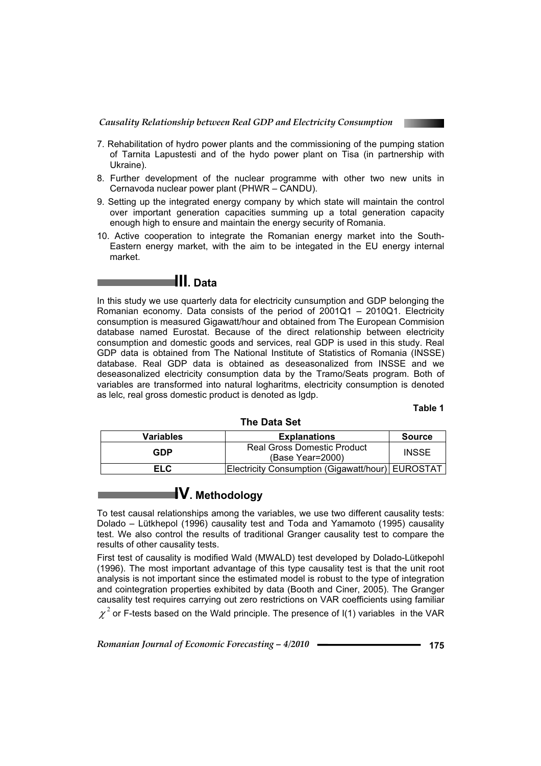

- 7. Rehabilitation of hydro power plants and the commissioning of the pumping station of Tarnita Lapustesti and of the hydo power plant on Tisa (in partnership with Ukraine).
- 8. Further development of the nuclear programme with other two new units in Cernavoda nuclear power plant (PHWR – CANDU).
- 9. Setting up the integrated energy company by which state will maintain the control over important generation capacities summing up a total generation capacity enough high to ensure and maintain the energy security of Romania.
- 10. Active cooperation to integrate the Romanian energy market into the South-Eastern energy market, with the aim to be integated in the EU energy internal market.

# **III. Data**

In this study we use quarterly data for electricity cunsumption and GDP belonging the Romanian economy. Data consists of the period of 2001Q1 – 2010Q1. Electricity consumption is measured Gigawatt/hour and obtained from The European Commision database named Eurostat. Because of the direct relationship between electricity consumption and domestic goods and services, real GDP is used in this study. Real GDP data is obtained from The National Institute of Statistics of Romania (INSSE) database. Real GDP data is obtained as deseasonalized from INSSE and we deseasonalized electricity consumption data by the Tramo/Seats program. Both of variables are transformed into natural logharitms, electricity consumption is denoted as lelc, real gross domestic product is denoted as lgdp.

**Table 1**

| $\overline{\phantom{a}}$ l IIIG Dala JGL |                                                        |               |  |  |  |  |
|------------------------------------------|--------------------------------------------------------|---------------|--|--|--|--|
| <b>Variables</b>                         | <b>Explanations</b>                                    | <b>Source</b> |  |  |  |  |
| GDP                                      | <b>Real Gross Domestic Product</b><br>(Base Year=2000) | <b>INSSE</b>  |  |  |  |  |
| EL C                                     | Electricity Consumption (Gigawatt/hour)  EUROSTAT      |               |  |  |  |  |

### **The Data Set**

# **IV. Methodology**

To test causal relationships among the variables, we use two different causality tests: Dolado – Lütkhepol (1996) causality test and Toda and Yamamoto (1995) causality test. We also control the results of traditional Granger causality test to compare the results of other causality tests.

First test of causality is modified Wald (MWALD) test developed by Dolado-Lütkepohl (1996). The most important advantage of this type causality test is that the unit root analysis is not important since the estimated model is robust to the type of integration and cointegration properties exhibited by data (Booth and Ciner, 2005). The Granger causality test requires carrying out zero restrictions on VAR coefficients using familiar  $\chi^2$  or F-tests based on the Wald principle. The presence of I(1) variables in the VAR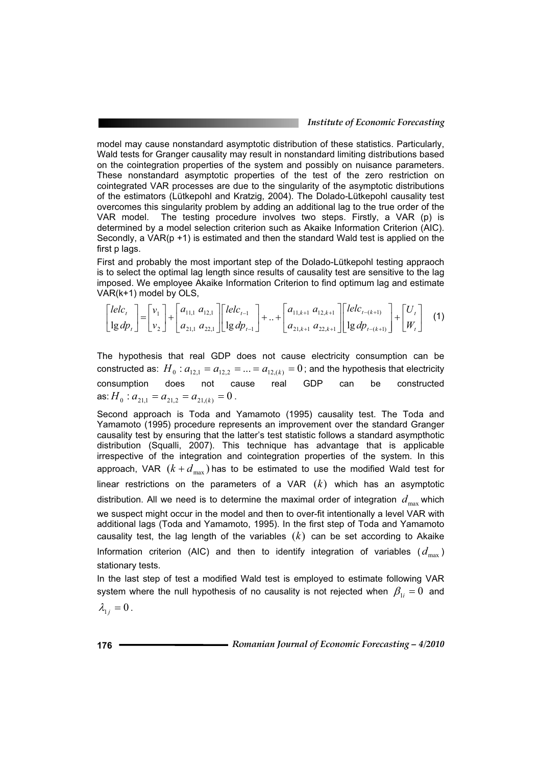model may cause nonstandard asymptotic distribution of these statistics. Particularly, Wald tests for Granger causality may result in nonstandard limiting distributions based on the cointegration properties of the system and possibly on nuisance parameters. These nonstandard asymptotic properties of the test of the zero restriction on cointegrated VAR processes are due to the singularity of the asymptotic distributions of the estimators (Lütkepohl and Kratzig, 2004). The Dolado-Lütkepohl causality test overcomes this singularity problem by adding an additional lag to the true order of the VAR model. The testing procedure involves two steps. Firstly, a VAR (p) is determined by a model selection criterion such as Akaike Information Criterion (AIC). Secondly, a  $VAR(p + 1)$  is estimated and then the standard Wald test is applied on the first p lags.

First and probably the most important step of the Dolado-Lütkepohl testing appraoch is to select the optimal lag length since results of causality test are sensitive to the lag imposed. We employee Akaike Information Criterion to find optimum lag and estimate VAR(k+1) model by OLS,

$$
\begin{bmatrix} lelc_t \\ \log dp_t \end{bmatrix} = \begin{bmatrix} v_1 \\ v_2 \end{bmatrix} + \begin{bmatrix} a_{11,1} & a_{12,1} \\ a_{21,1} & a_{22,1} \end{bmatrix} \begin{bmatrix} lelc_{t-1} \\ \log dp_{t-1} \end{bmatrix} + .. + \begin{bmatrix} a_{11,k+1} & a_{12,k+1} \\ a_{21,k+1} & a_{22,k+1} \end{bmatrix} \begin{bmatrix} lelc_{t-(k+1)} \\ \log dp_{t-(k+1)} \end{bmatrix} + \begin{bmatrix} U_t \\ W_t \end{bmatrix}
$$
 (1)

The hypothesis that real GDP does not cause electricity consumption can be constructed as:  $H_0: a_{12,1} = a_{12,2} = ... = a_{12,(k)} = 0$ ; and the hypothesis that electricity consumption does not cause real GDP can be constructed as:  $H_0$  :  $a_{21,1} = a_{21,2} = a_{21,(k)} = 0$  .

Second approach is Toda and Yamamoto (1995) causality test. The Toda and Yamamoto (1995) procedure represents an improvement over the standard Granger causality test by ensuring that the latter's test statistic follows a standard asympthotic distribution (Squalli, 2007). This technique has advantage that is applicable irrespective of the integration and cointegration properties of the system. In this approach, VAR  $(k + d_{max})$  has to be estimated to use the modified Wald test for linear restrictions on the parameters of a VAR (*k*) which has an asymptotic distribution. All we need is to determine the maximal order of integration  $d_{\text{max}}$  which we suspect might occur in the model and then to over-fit intentionally a level VAR with additional lags (Toda and Yamamoto, 1995). In the first step of Toda and Yamamoto causality test, the lag length of the variables  $(k)$  can be set according to Akaike Information criterion (AIC) and then to identify integration of variables  $(d_{\text{max}})$ stationary tests.

In the last step of test a modified Wald test is employed to estimate following VAR system where the null hypothesis of no causality is not rejected when  $\beta_{1i} = 0$  and  $\lambda_{1j} = 0$ .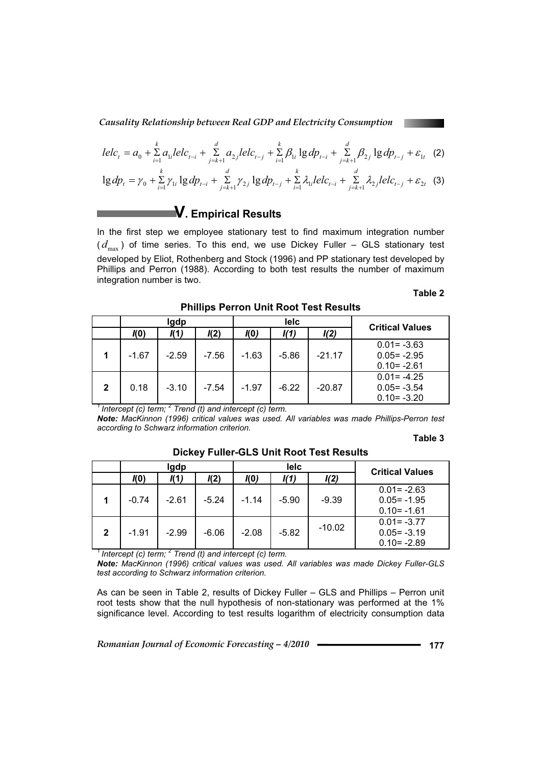$$
lec_{t} = a_{0} + \sum_{i=1}^{k} a_{1i} lec_{t-i} + \sum_{j=k+1}^{d} a_{2j} lec_{t-j} + \sum_{i=1}^{k} \beta_{1i} \lg dp_{t-i} + \sum_{j=k+1}^{d} \beta_{2j} \lg dp_{t-j} + \varepsilon_{1t} \quad (2)
$$

$$
\lg dp_t = \gamma_0 + \sum_{i=1}^n \gamma_{1i} \lg dp_{t-i} + \sum_{j=k+1}^u \gamma_{2j} \lg dp_{t-j} + \sum_{i=1}^n \lambda_{1i} lelc_{t-i} + \sum_{j=k+1}^u \lambda_{2j} lelc_{t-j} + \varepsilon_{2t} \tag{3}
$$

**V. Empirical Results** 

In the first step we employee stationary test to find maximum integration number  $(d_{\text{max}})$  of time series. To this end, we use Dickey Fuller – GLS stationary test developed by Eliot, Rothenberg and Stock (1996) and PP stationary test developed by Phillips and Perron (1988). According to both test results the number of maximum integration number is two.

#### **Table 2**

|              | Igdp    |         |         | lelc    |         |          | <b>Critical Values</b>                             |  |
|--------------|---------|---------|---------|---------|---------|----------|----------------------------------------------------|--|
|              | I(0)    | K1)     | K2)     | I(0)    | I(1)    | I(2)     |                                                    |  |
|              | $-1.67$ | $-2.59$ | $-7.56$ | $-1.63$ | $-5.86$ | $-21.17$ | $0.01 = -3.63$<br>$0.05 = -2.95$<br>$0.10 = -2.61$ |  |
| $\mathbf{2}$ | 0.18    | $-3.10$ | $-7.54$ | $-1.97$ | $-6.22$ | $-20.87$ | $0.01 = -4.25$<br>$0.05 = -3.54$<br>$0.10 = -3.20$ |  |

**Phillips Perron Unit Root Test Results** 

<sup>1</sup> Intercept (c) term; <sup>2</sup> Trend (t) and intercept (c) term.

*Note: MacKinnon (1996) critical values was used. All variables was made Phillips-Perron test according to Schwarz information criterion.* 

#### **Table 3**

|             | Igdp                |         |         | lelc    |         |          | <b>Critical Values</b>                             |
|-------------|---------------------|---------|---------|---------|---------|----------|----------------------------------------------------|
|             | K1)<br>I(2)<br>I(0) |         | KO)     | I(1)    | I(2)    |          |                                                    |
|             | $-0.74$             | $-2.61$ | $-5.24$ | $-1.14$ | $-5.90$ | $-9.39$  | $0.01 = -2.63$<br>$0.05 = -1.95$<br>$0.10 = -1.61$ |
| $\mathbf 2$ | $-1.91$             | $-2.99$ | $-6.06$ | $-2.08$ | $-5.82$ | $-10.02$ | $0.01 = -3.77$<br>$0.05 = -3.19$<br>$0.10 = -2.89$ |

#### **Dickey Fuller-GLS Unit Root Test Results**

<sup>1</sup> Intercept (c) term; <sup>2</sup> Trend (t) and intercept (c) term.

*Note: MacKinnon (1996) critical values was used. All variables was made Dickey Fuller-GLS test according to Schwarz information criterion.* 

As can be seen in Table 2, results of Dickey Fuller – GLS and Phillips – Perron unit root tests show that the null hypothesis of non-stationary was performed at the 1% significance level. According to test results logarithm of electricity consumption data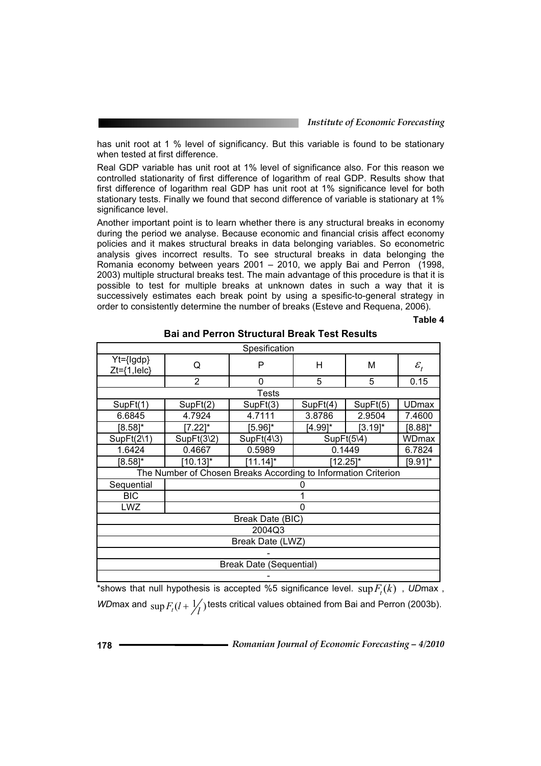has unit root at 1 % level of significancy. But this variable is found to be stationary when tested at first difference.

Real GDP variable has unit root at 1% level of significance also. For this reason we controlled stationarity of first difference of logarithm of real GDP. Results show that first difference of logarithm real GDP has unit root at 1% significance level for both stationary tests. Finally we found that second difference of variable is stationary at 1% significance level.

Another important point is to learn whether there is any structural breaks in economy during the period we analyse. Because economic and financial crisis affect economy policies and it makes structural breaks in data belonging variables. So econometric analysis gives incorrect results. To see structural breaks in data belonging the Romania economy between years 2001 – 2010, we apply Bai and Perron (1998, 2003) multiple structural breaks test. The main advantage of this procedure is that it is possible to test for multiple breaks at unknown dates in such a way that it is successively estimates each break point by using a spesific-to-general strategy in order to consistently determine the number of breaks (Esteve and Requena, 2006).

**Table 4** 

| Spesification                   |                                                                |                |              |            |                 |  |  |
|---------------------------------|----------------------------------------------------------------|----------------|--------------|------------|-----------------|--|--|
| Yt={lgdp}<br>$Zt = \{1, lelc\}$ | Q                                                              | P              | н            | Μ          | $\mathcal{E}_t$ |  |  |
|                                 | $\overline{2}$                                                 | 0              | 5            | 5          | 0.15            |  |  |
|                                 |                                                                | <b>Tests</b>   |              |            |                 |  |  |
| SupFt(1)                        | SupFt(2)                                                       | SupFt(3)       | SupFt(4)     | SupFt(5)   | <b>UDmax</b>    |  |  |
| 6.6845                          | 4.7924                                                         | 4.7111         | 3.8786       | 2.9504     | 7.4600          |  |  |
| $[8.58]$ *                      | [7.22]*                                                        | [5.96]*        | $[4.99]^{*}$ | $[3.19]$ * | $[8.88]$ *      |  |  |
| $SupFit(2\1)$                   | SupFit(3 2)                                                    | $SupFit(4\,3)$ | SupFit(5)4)  |            | WDmax           |  |  |
| 1.6424                          | 0.4667                                                         | 0.5989         | 0.1449       |            | 6.7824          |  |  |
| $[8.58]$ *                      | $[10.13]$ *                                                    | $[11.14]$ *    | $[12.25]$ *  |            | $[9.91]$ *      |  |  |
|                                 | The Number of Chosen Breaks According to Information Criterion |                |              |            |                 |  |  |
| Sequential                      |                                                                |                |              |            |                 |  |  |
| <b>BIC</b>                      |                                                                |                | 1            |            |                 |  |  |
| <b>LWZ</b>                      |                                                                |                | 0            |            |                 |  |  |
| Break Date (BIC)                |                                                                |                |              |            |                 |  |  |
| 2004Q3                          |                                                                |                |              |            |                 |  |  |
| Break Date (LWZ)                |                                                                |                |              |            |                 |  |  |
|                                 |                                                                |                |              |            |                 |  |  |
| <b>Break Date (Sequential)</b>  |                                                                |                |              |            |                 |  |  |
|                                 |                                                                |                |              |            |                 |  |  |

**Bai and Perron Structural Break Test Results** 

\*shows that null hypothesis is accepted %5 significance level.  $\sup F_t(k)$ , *UDmax*, *WD*max and  $\sup F_t(l + \frac{1}{l})$  tests critical values obtained from Bai and Perron (2003b).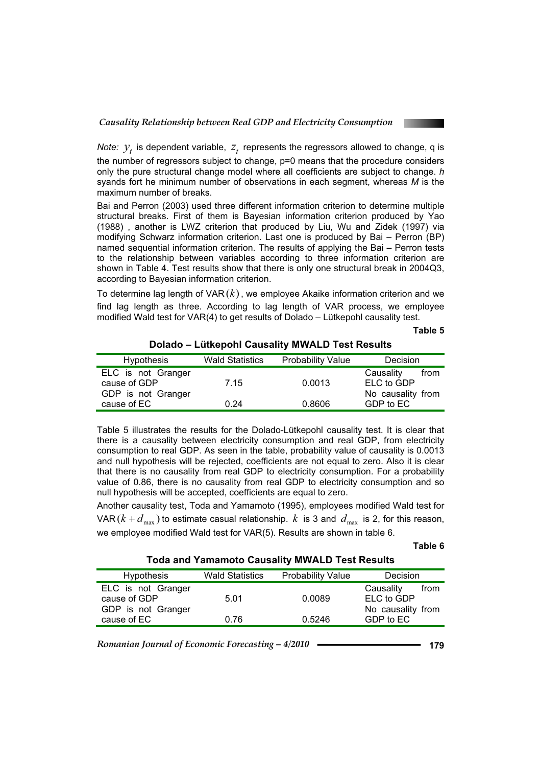

*Note:*  $y<sub>t</sub>$  is dependent variable,  $z<sub>t</sub>$  represents the regressors allowed to change, q is the number of regressors subject to change, p=0 means that the procedure considers only the pure structural change model where all coefficients are subject to change. *h* syands fort he minimum number of observations in each segment, whereas *M* is the maximum number of breaks.

Bai and Perron (2003) used three different information criterion to determine multiple structural breaks. First of them is Bayesian information criterion produced by Yao (1988) , another is LWZ criterion that produced by Liu, Wu and Zidek (1997) via modifying Schwarz information criterion. Last one is produced by Bai – Perron (BP) named sequential information criterion. The results of applying the Bai – Perron tests to the relationship between variables according to three information criterion are shown in Table 4. Test results show that there is only one structural break in 2004Q3, according to Bayesian information criterion.

To determine lag length of VAR (*k*), we employee Akaike information criterion and we find lag length as three. According to lag length of VAR process, we employee modified Wald test for VAR(4) to get results of Dolado – Lütkepohl causality test.

**Table 5**

| <b>Hypothesis</b>  | <b>Wald Statistics</b> | <b>Probability Value</b> | Decision          |
|--------------------|------------------------|--------------------------|-------------------|
| ELC is not Granger |                        |                          | Causality<br>from |
| cause of GDP       | 7.15                   | 0.0013                   | ELC to GDP        |
| GDP is not Granger |                        |                          | No causality from |
| cause of EC        | 0.24                   | 0.8606                   | GDP to EC         |

**Dolado – Lütkepohl Causality MWALD Test Results** 

Table 5 illustrates the results for the Dolado-Lütkepohl causality test. It is clear that there is a causality between electricity consumption and real GDP, from electricity consumption to real GDP. As seen in the table, probability value of causality is 0.0013 and null hypothesis will be rejected, coefficients are not equal to zero. Also it is clear that there is no causality from real GDP to electricity consumption. For a probability value of 0.86, there is no causality from real GDP to electricity consumption and so null hypothesis will be accepted, coefficients are equal to zero.

Another causality test, Toda and Yamamoto (1995), employees modified Wald test for VAR  $(k + d_{\text{max}})$  to estimate casual relationship. *k* is 3 and  $d_{\text{max}}$  is 2, for this reason, we employee modified Wald test for VAR(5). Results are shown in table 6.

#### **Table 6**

#### **Toda and Yamamoto Causality MWALD Test Results**

| <b>Hypothesis</b>                                                       | <b>Wald Statistics</b> | <b>Probability Value</b> | <b>Decision</b>                                                   |
|-------------------------------------------------------------------------|------------------------|--------------------------|-------------------------------------------------------------------|
| ELC is not Granger<br>cause of GDP<br>GDP is not Granger<br>cause of EC | 5.01<br>0.76           | 0.0089<br>0.5246         | Causality<br>from<br>ELC to GDP<br>No causality from<br>GDP to EC |
|                                                                         |                        |                          |                                                                   |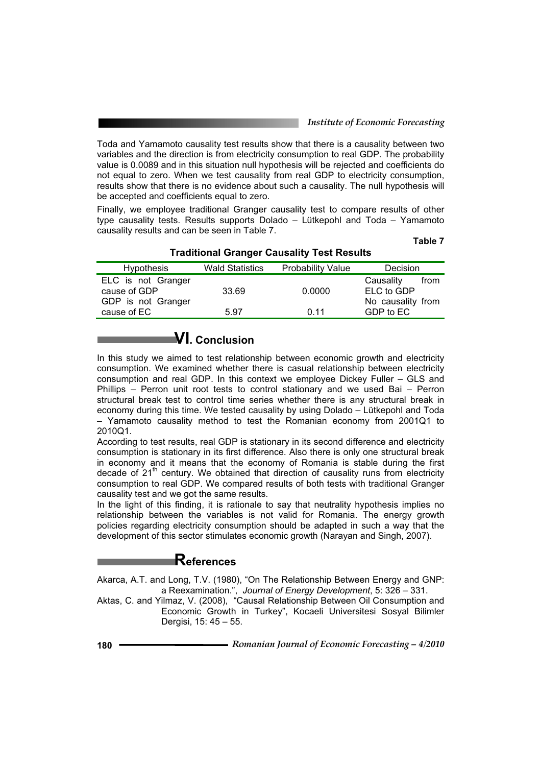Toda and Yamamoto causality test results show that there is a causality between two variables and the direction is from electricity consumption to real GDP. The probability value is 0.0089 and in this situation null hypothesis will be rejected and coefficients do not equal to zero. When we test causality from real GDP to electricity consumption, results show that there is no evidence about such a causality. The null hypothesis will be accepted and coefficients equal to zero.

Finally, we employee traditional Granger causality test to compare results of other type causality tests. Results supports Dolado – Lütkepohl and Toda – Yamamoto causality results and can be seen in Table 7.

| ۰.<br>v<br>×<br>۰. |  |
|--------------------|--|
|--------------------|--|

| <b>Haultional Granger Causality Test Results</b>         |                        |                          |                                                      |  |  |  |  |  |
|----------------------------------------------------------|------------------------|--------------------------|------------------------------------------------------|--|--|--|--|--|
| Hypothesis                                               | <b>Wald Statistics</b> | <b>Probability Value</b> | Decision                                             |  |  |  |  |  |
| ELC is not Granger<br>cause of GDP<br>GDP is not Granger | 33.69                  | 0.0000                   | Causality<br>from<br>ELC to GDP<br>No causality from |  |  |  |  |  |
| cause of EC                                              | 5.97                   | 0.11                     | GDP to EC                                            |  |  |  |  |  |

### **Traditional Granger Causality Test Results**

# **VI. Conclusion**

In this study we aimed to test relationship between economic growth and electricity consumption. We examined whether there is casual relationship between electricity consumption and real GDP. In this context we employee Dickey Fuller – GLS and Phillips – Perron unit root tests to control stationary and we used Bai – Perron structural break test to control time series whether there is any structural break in economy during this time. We tested causality by using Dolado – Lütkepohl and Toda – Yamamoto causality method to test the Romanian economy from 2001Q1 to 2010Q1.

According to test results, real GDP is stationary in its second difference and electricity consumption is stationary in its first difference. Also there is only one structural break in economy and it means that the economy of Romania is stable during the first decade of  $21<sup>th</sup>$  century. We obtained that direction of causality runs from electricity consumption to real GDP. We compared results of both tests with traditional Granger causality test and we got the same results.

In the light of this finding, it is rationale to say that neutrality hypothesis implies no relationship between the variables is not valid for Romania. The energy growth policies regarding electricity consumption should be adapted in such a way that the development of this sector stimulates economic growth (Narayan and Singh, 2007).

# **References**

Akarca, A.T. and Long, T.V. (1980), "On The Relationship Between Energy and GNP: a Reexamination.", *Journal of Energy Development*, 5: 326 – 331.

Aktas, C. and Yilmaz, V. (2008), "Causal Relationship Between Oil Consumption and Economic Growth in Turkey", Kocaeli Universitesi Sosyal Bilimler Dergisi, 15: 45 – 55.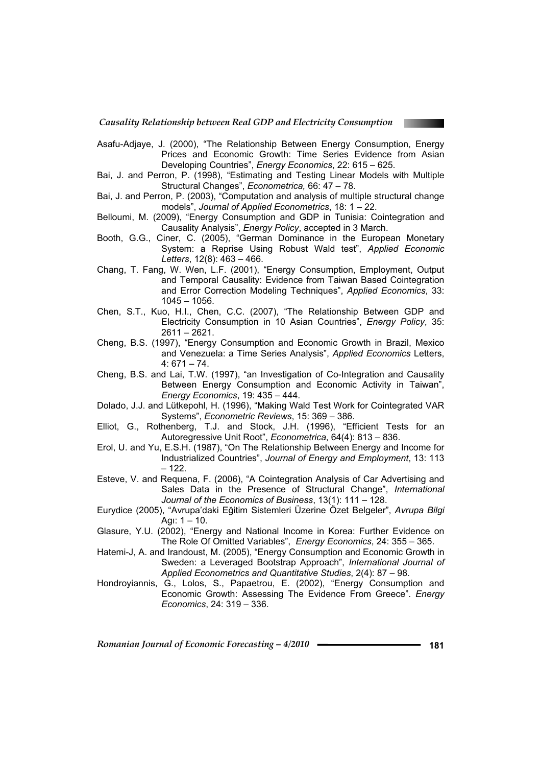

- Asafu-Adjaye, J. (2000), "The Relationship Between Energy Consumption, Energy Prices and Economic Growth: Time Series Evidence from Asian Developing Countries", *Energy Economics*, 22: 615 – 625.
- Bai, J. and Perron, P. (1998), "Estimating and Testing Linear Models with Multiple Structural Changes", *Econometrica,* 66: 47 – 78.
- Bai, J. and Perron, P. (2003), "Computation and analysis of multiple structural change models", *Journal of Applied Econometrics*, 18: 1 – 22.
- Belloumi, M. (2009), "Energy Consumption and GDP in Tunisia: Cointegration and Causality Analysis", *Energy Policy*, accepted in 3 March.
- Booth, G.G., Ciner, C. (2005), "German Dominance in the European Monetary System: a Reprise Using Robust Wald test", *Applied Economic Letters*, 12(8): 463 – 466.
- Chang, T. Fang, W. Wen, L.F. (2001), "Energy Consumption, Employment, Output and Temporal Causality: Evidence from Taiwan Based Cointegration and Error Correction Modeling Techniques", *Applied Economics*, 33: 1045 – 1056.
- Chen, S.T., Kuo, H.I., Chen, C.C. (2007), "The Relationship Between GDP and Electricity Consumption in 10 Asian Countries", *Energy Policy*, 35: 2611 – 2621.
- Cheng, B.S. (1997), "Energy Consumption and Economic Growth in Brazil, Mexico and Venezuela: a Time Series Analysis", *Applied Economics* Letters,  $4:671 - 74.$
- Cheng, B.S. and Lai, T.W. (1997), "an Investigation of Co-Integration and Causality Between Energy Consumption and Economic Activity in Taiwan", *Energy Economics*, 19: 435 – 444.
- Dolado, J.J. and Lütkepohl, H. (1996), "Making Wald Test Work for Cointegrated VAR Systems", *Econometric Reviews*, 15: 369 – 386.
- Elliot, G., Rothenberg, T.J. and Stock, J.H. (1996), "Efficient Tests for an Autoregressive Unit Root", *Econometrica*, 64(4): 813 – 836.
- Erol, U. and Yu, E.S.H. (1987), "On The Relationship Between Energy and Income for Industrialized Countries", *Journal of Energy and Employment*, 13: 113 – 122.
- Esteve, V. and Requena, F. (2006), "A Cointegration Analysis of Car Advertising and Sales Data in the Presence of Structural Change", *International Journal of the Economics of Business*, 13(1): 111 – 128.
- Eurydice (2005), "Avrupa'daki E÷itim Sistemleri Üzerine Özet Belgeler", *Avrupa Bilgi* Agı:  $1 - 10$ .
- Glasure, Y.U. (2002), "Energy and National Income in Korea: Further Evidence on The Role Of Omitted Variables", *Energy Economics*, 24: 355 – 365.
- Hatemi-J, A. and Irandoust, M. (2005), "Energy Consumption and Economic Growth in Sweden: a Leveraged Bootstrap Approach", *International Journal of Applied Econometrics and Quantitative Studies*, 2(4): 87 – 98.
- Hondroyiannis, G., Lolos, S., Papaetrou, E. (2002), "Energy Consumption and Economic Growth: Assessing The Evidence From Greece". *Energy Economics*, 24: 319 – 336.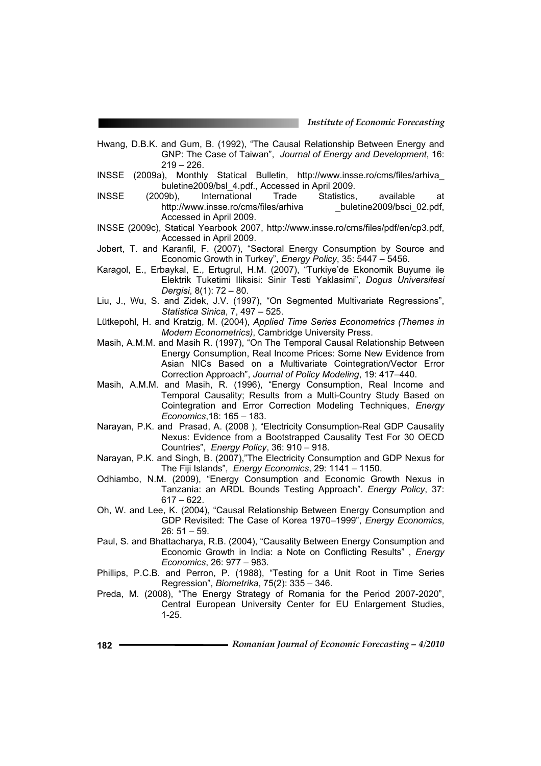- Hwang, D.B.K. and Gum, B. (1992), "The Causal Relationship Between Energy and GNP: The Case of Taiwan", *Journal of Energy and Development*, 16:  $219 - 226$ .
- INSSE (2009a), Monthly Statical Bulletin, http://www.insse.ro/cms/files/arhiva\_ buletine2009/bsl\_4.pdf., Accessed in April 2009.
- INSSE (2009b), International Trade Statistics, available at http://www.insse.ro/cms/files/arhiva buletine2009/bsci\_02.pdf, Accessed in April 2009.
- INSSE (2009c), Statical Yearbook 2007, http://www.insse.ro/cms/files/pdf/en/cp3.pdf, Accessed in April 2009.
- Jobert, T. and Karanfil, F. (2007), "Sectoral Energy Consumption by Source and Economic Growth in Turkey", *Energy Policy*, 35: 5447 – 5456.
- Karagol, E., Erbaykal, E., Ertugrul, H.M. (2007), "Turkiye'de Ekonomik Buyume ile Elektrik Tuketimi Iliksisi: Sinir Testi Yaklasimi", *Dogus Universitesi Dergisi*, 8(1): 72 – 80.
- Liu, J., Wu, S. and Zidek, J.V. (1997), "On Segmented Multivariate Regressions", *Statistica Sinica*, 7, 497 – 525.
- Lütkepohl, H. and Kratzig, M. (2004), *Applied Time Series Econometrics (Themes in Modern Econometrics)*, Cambridge University Press.
- Masih, A.M.M. and Masih R. (1997), "On The Temporal Causal Relationship Between Energy Consumption, Real Income Prices: Some New Evidence from Asian NICs Based on a Multivariate Cointegration/Vector Error Correction Approach", *Journal of Policy Modeling*, 19: 417–440.
- Masih, A.M.M. and Masih, R. (1996), "Energy Consumption, Real Income and Temporal Causality; Results from a Multi-Country Study Based on Cointegration and Error Correction Modeling Techniques, *Energy Economics*,18: 165 – 183.
- Narayan, P.K. and Prasad, A. (2008 ), "Electricity Consumption-Real GDP Causality Nexus: Evidence from a Bootstrapped Causality Test For 30 OECD Countries", *Energy Policy*, 36: 910 – 918.
- Narayan, P.K. and Singh, B. (2007),"The Electricity Consumption and GDP Nexus for The Fiji Islands", *Energy Economics*, 29: 1141 – 1150.
- Odhiambo, N.M. (2009), "Energy Consumption and Economic Growth Nexus in Tanzania: an ARDL Bounds Testing Approach". *Energy Policy*, 37:  $617 - 622$ .
- Oh, W. and Lee, K. (2004), "Causal Relationship Between Energy Consumption and GDP Revisited: The Case of Korea 1970–1999", *Energy Economics*, 26: 51 – 59.
- Paul, S. and Bhattacharya, R.B. (2004), "Causality Between Energy Consumption and Economic Growth in India: a Note on Conflicting Results" , *Energy Economics*, 26: 977 – 983.
- Phillips, P.C.B. and Perron, P. (1988), "Testing for a Unit Root in Time Series Regression", *Biometrika*, 75(2): 335 – 346.
- Preda, M. (2008), "The Energy Strategy of Romania for the Period 2007-2020", Central European University Center for EU Enlargement Studies, 1-25.